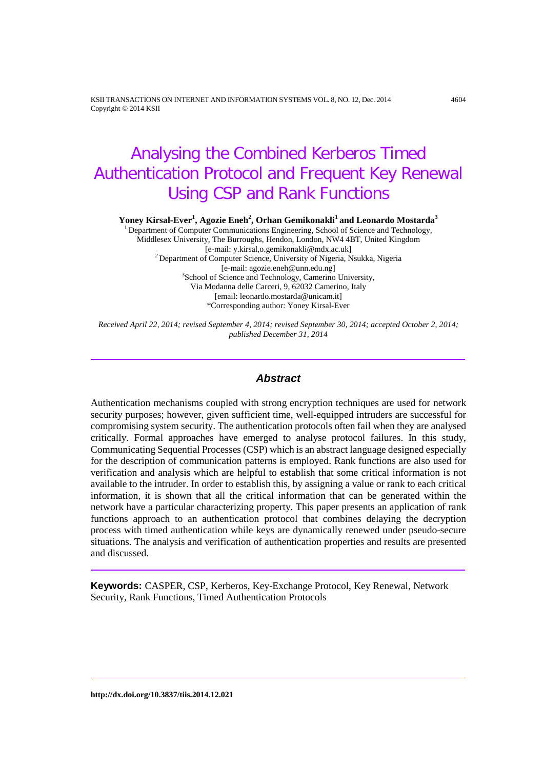KSII TRANSACTIONS ON INTERNET AND INFORMATION SYSTEMS VOL. 8, NO. 12, Dec. 2014 4604 Copyright © 2014 KSII

# Analysing the Combined Kerberos Timed Authentication Protocol and Frequent Key Renewal Using CSP and Rank Functions

 $\bold{Y}$ oney Kirsal-Ever<sup>1</sup>, Agozie Eneh<sup>2</sup>, Orhan Gemikonakli<sup>1</sup> and Leonardo Mostarda $^3$ 

<sup>1</sup> Department of Computer Communications Engineering, School of Science and Technology, Middlesex University, The Burroughs, Hendon, London, NW4 4BT, United Kingdom <sup>2</sup> Department of Computer Science, University of Nigeria, Nsukka, Nigeria<br>[e-mail: agozie.eneh@unn.edu.ng] [e-mail: agozie.eneh@unn.edu.ng] <sup>3</sup> School of Science and Technology, Camerino University, Via Modanna delle Carceri, 9, 62032 Camerino, Italy [email: leonardo.mostarda@unicam.it] \*Corresponding author: Yoney Kirsal-Ever

*Received April 22, 2014; revised September 4, 2014; revised September 30, 2014; accepted October 2, 2014; published December 31, 2014*

## *Abstract*

Authentication mechanisms coupled with strong encryption techniques are used for network security purposes; however, given sufficient time, well-equipped intruders are successful for compromising system security. The authentication protocols often fail when they are analysed critically. Formal approaches have emerged to analyse protocol failures. In this study, Communicating Sequential Processes (CSP) which is an abstract language designed especially for the description of communication patterns is employed. Rank functions are also used for verification and analysis which are helpful to establish that some critical information is not available to the intruder. In order to establish this, by assigning a value or rank to each critical information, it is shown that all the critical information that can be generated within the network have a particular characterizing property. This paper presents an application of rank functions approach to an authentication protocol that combines delaying the decryption process with timed authentication while keys are dynamically renewed under pseudo-secure situations. The analysis and verification of authentication properties and results are presented and discussed.

**Keywords:** CASPER, CSP, Kerberos, Key-Exchange Protocol, Key Renewal, Network Security, Rank Functions, Timed Authentication Protocols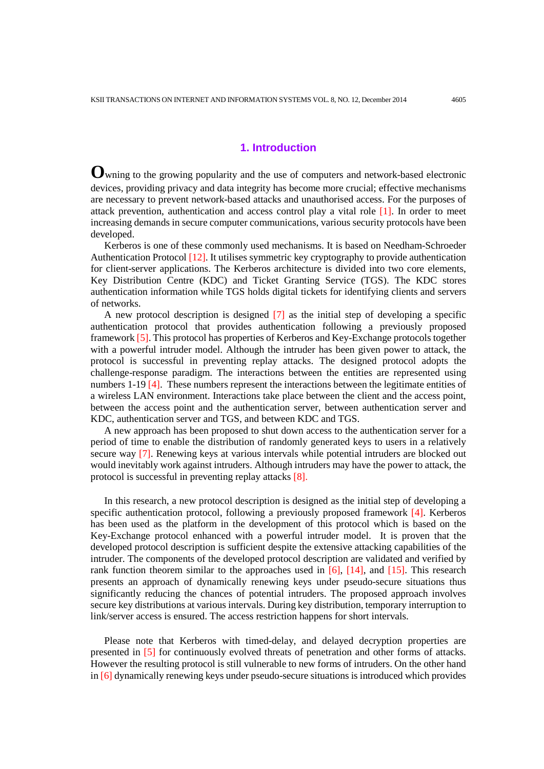## **1. Introduction**

**O**wning to the growing popularity and the use of computers and network-based electronic devices, providing privacy and data integrity has become more crucial; effective mechanisms are necessary to prevent network-based attacks and unauthorised access. For the purposes of attack prevention, authentication and access control play a vital role [1]. In order to meet increasing demands in secure computer communications, various security protocols have been developed.

Kerberos is one of these commonly used mechanisms. It is based on Needham-Schroeder Authentication Protocol [12]. It utilises symmetric key cryptography to provide authentication for client-server applications. The Kerberos architecture is divided into two core elements, Key Distribution Centre (KDC) and Ticket Granting Service (TGS). The KDC stores authentication information while TGS holds digital tickets for identifying clients and servers of networks.

A new protocol description is designed [7] as the initial step of developing a specific authentication protocol that provides authentication following a previously proposed framework [5]. This protocol has properties of Kerberos and Key-Exchange protocols together with a powerful intruder model. Although the intruder has been given power to attack, the protocol is successful in preventing replay attacks. The designed protocol adopts the challenge-response paradigm. The interactions between the entities are represented using numbers 1-19 [4]. These numbers represent the interactions between the legitimate entities of a wireless LAN environment. Interactions take place between the client and the access point, between the access point and the authentication server, between authentication server and KDC, authentication server and TGS, and between KDC and TGS.

A new approach has been proposed to shut down access to the authentication server for a period of time to enable the distribution of randomly generated keys to users in a relatively secure way [7]. Renewing keys at various intervals while potential intruders are blocked out would inevitably work against intruders. Although intruders may have the power to attack, the protocol is successful in preventing replay attacks [8].

In this research, a new protocol description is designed as the initial step of developing a specific authentication protocol, following a previously proposed framework  $[4]$ . Kerberos has been used as the platform in the development of this protocol which is based on the Key-Exchange protocol enhanced with a powerful intruder model. It is proven that the developed protocol description is sufficient despite the extensive attacking capabilities of the intruder. The components of the developed protocol description are validated and verified by rank function theorem similar to the approaches used in  $[6]$ ,  $[14]$ , and  $[15]$ . This research presents an approach of dynamically renewing keys under pseudo-secure situations thus significantly reducing the chances of potential intruders. The proposed approach involves secure key distributions at various intervals. During key distribution, temporary interruption to link/server access is ensured. The access restriction happens for short intervals.

Please note that Kerberos with timed-delay, and delayed decryption properties are presented in [5] for continuously evolved threats of penetration and other forms of attacks. However the resulting protocol is still vulnerable to new forms of intruders. On the other hand in [6] dynamically renewing keys under pseudo-secure situations is introduced which provides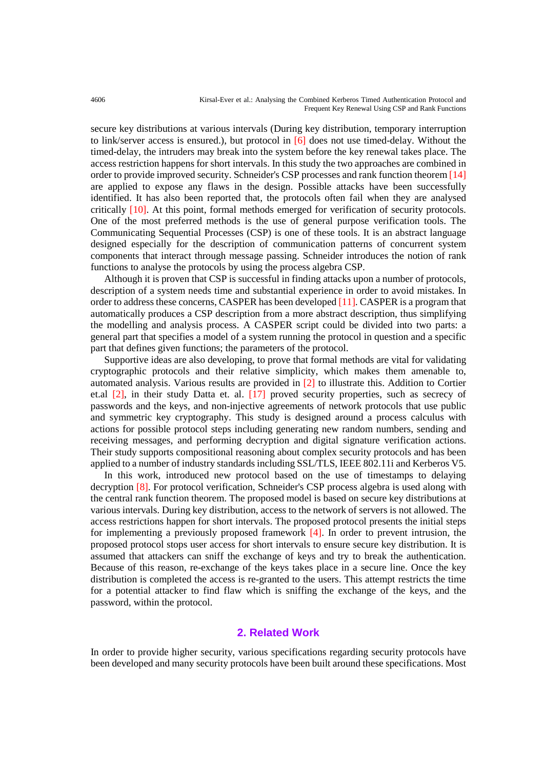secure key distributions at various intervals (During key distribution, temporary interruption to link/server access is ensured.), but protocol in  $\lceil 6 \rceil$  does not use timed-delay. Without the timed-delay, the intruders may break into the system before the key renewal takes place. The access restriction happens for short intervals. In this study the two approaches are combined in order to provide improved security. Schneider's CSP processes and rank function theorem [14] are applied to expose any flaws in the design. Possible attacks have been successfully identified. It has also been reported that, the protocols often fail when they are analysed critically [10]. At this point, formal methods emerged for verification of security protocols. One of the most preferred methods is the use of general purpose verification tools. The Communicating Sequential Processes (CSP) is one of these tools. It is an abstract language designed especially for the description of communication patterns of concurrent system components that interact through message passing. Schneider introduces the notion of rank functions to analyse the protocols by using the process algebra CSP.

Although it is proven that CSP is successful in finding attacks upon a number of protocols, description of a system needs time and substantial experience in order to avoid mistakes. In order to address these concerns, CASPER has been developed [11]. CASPER is a program that automatically produces a CSP description from a more abstract description, thus simplifying the modelling and analysis process. A CASPER script could be divided into two parts: a general part that specifies a model of a system running the protocol in question and a specific part that defines given functions; the parameters of the protocol.

Supportive ideas are also developing, to prove that formal methods are vital for validating cryptographic protocols and their relative simplicity, which makes them amenable to, automated analysis. Various results are provided in [2] to illustrate this. Addition to Cortier et.al [2], in their study Datta et. al. [17] proved security properties, such as secrecy of passwords and the keys, and non-injective agreements of network protocols that use public and symmetric key cryptography. This study is designed around a process calculus with actions for possible protocol steps including generating new random numbers, sending and receiving messages, and performing decryption and digital signature verification actions. Their study supports compositional reasoning about complex security protocols and has been applied to a number of industry standards including SSL/TLS, IEEE 802.11i and Kerberos V5.

In this work, introduced new protocol based on the use of timestamps to delaying decryption [8]. For protocol verification, Schneider's CSP process algebra is used along with the central rank function theorem. The proposed model is based on secure key distributions at various intervals. During key distribution, access to the network of servers is not allowed. The access restrictions happen for short intervals. The proposed protocol presents the initial steps for implementing a previously proposed framework [4]. In order to prevent intrusion, the proposed protocol stops user access for short intervals to ensure secure key distribution. It is assumed that attackers can sniff the exchange of keys and try to break the authentication. Because of this reason, re-exchange of the keys takes place in a secure line. Once the key distribution is completed the access is re-granted to the users. This attempt restricts the time for a potential attacker to find flaw which is sniffing the exchange of the keys, and the password, within the protocol.

#### **2. Related Work**

In order to provide higher security, various specifications regarding security protocols have been developed and many security protocols have been built around these specifications. Most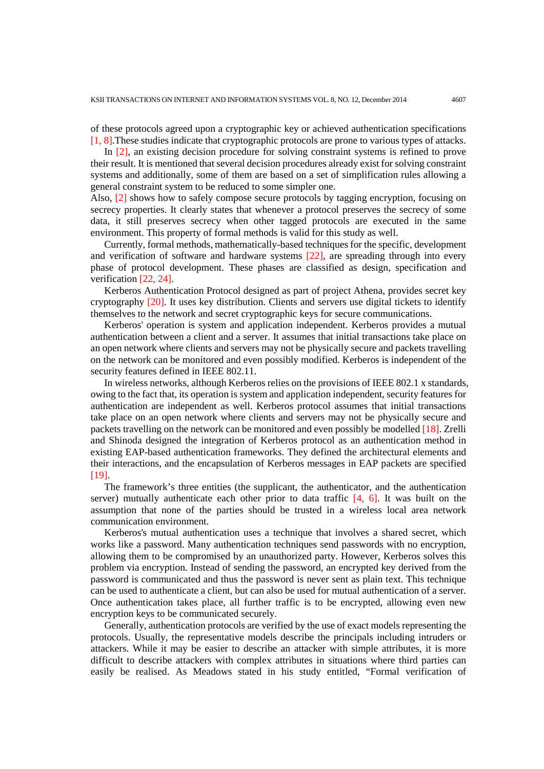of these protocols agreed upon a cryptographic key or achieved authentication specifications [1, 8].These studies indicate that cryptographic protocols are prone to various types of attacks.

In [2], an existing decision procedure for solving constraint systems is refined to prove their result. It is mentioned that several decision procedures already exist for solving constraint systems and additionally, some of them are based on a set of simplification rules allowing a general constraint system to be reduced to some simpler one.

Also, [2] shows how to safely compose secure protocols by tagging encryption, focusing on secrecy properties. It clearly states that whenever a protocol preserves the secrecy of some data, it still preserves secrecy when other tagged protocols are executed in the same environment. This property of formal methods is valid for this study as well.

Currently, formal methods, mathematically-based techniques for the specific, development and verification of software and hardware systems [22], are spreading through into every phase of protocol development. These phases are classified as design, specification and verification [22, 24].

Kerberos Authentication Protocol designed as part of project Athena, provides secret key cryptography [20]. It uses key distribution. Clients and servers use digital tickets to identify themselves to the network and secret cryptographic keys for secure communications.

Kerberos' operation is system and application independent. Kerberos provides a mutual authentication between a client and a server. It assumes that initial transactions take place on an open network where clients and servers may not be physically secure and packets travelling on the network can be monitored and even possibly modified. Kerberos is independent of the security features defined in IEEE 802.11.

In wireless networks, although Kerberos relies on the provisions of IEEE 802.1 x standards, owing to the fact that, its operation is system and application independent, security features for authentication are independent as well. Kerberos protocol assumes that initial transactions take place on an open network where clients and servers may not be physically secure and packets travelling on the network can be monitored and even possibly be modelled [18]. Zrelli and Shinoda designed the integration of Kerberos protocol as an authentication method in existing EAP-based authentication frameworks. They defined the architectural elements and their interactions, and the encapsulation of Kerberos messages in EAP packets are specified [19].

The framework's three entities (the supplicant, the authenticator, and the authentication server) mutually authenticate each other prior to data traffic  $[4, 6]$ . It was built on the assumption that none of the parties should be trusted in a wireless local area network communication environment.

Kerberos's mutual authentication uses a technique that involves a shared secret, which works like a password. Many authentication techniques send passwords with no encryption, allowing them to be compromised by an unauthorized party. However, Kerberos solves this problem via encryption. Instead of sending the password, an encrypted key derived from the password is communicated and thus the password is never sent as plain text. This technique can be used to authenticate a client, but can also be used for mutual authentication of a server. Once authentication takes place, all further traffic is to be encrypted, allowing even new encryption keys to be communicated securely.

Generally, authentication protocols are verified by the use of exact models representing the protocols. Usually, the representative models describe the principals including intruders or attackers. While it may be easier to describe an attacker with simple attributes, it is more difficult to describe attackers with complex attributes in situations where third parties can easily be realised. As Meadows stated in his study entitled, "Formal verification of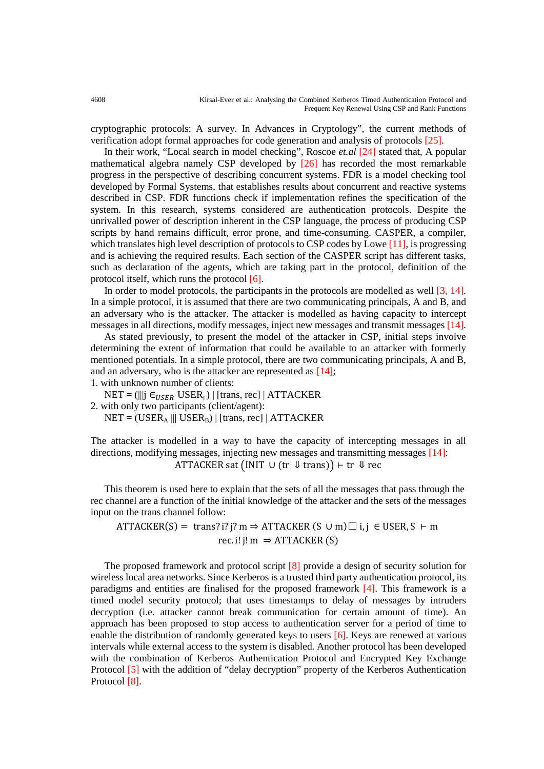cryptographic protocols: A survey. In Advances in Cryptology", the current methods of verification adopt formal approaches for code generation and analysis of protocols [25].

In their work, "Local search in model checking", Roscoe *et.al* [24] stated that, A popular mathematical algebra namely CSP developed by [26] has recorded the most remarkable progress in the perspective of describing concurrent systems. FDR is a model checking tool developed by Formal Systems, that establishes results about concurrent and reactive systems described in CSP. FDR functions check if implementation refines the specification of the system. In this research, systems considered are authentication protocols. Despite the unrivalled power of description inherent in the CSP language, the process of producing CSP scripts by hand remains difficult, error prone, and time-consuming. CASPER, a compiler, which translates high level description of protocols to CSP codes by Lowe [11], is progressing and is achieving the required results. Each section of the CASPER script has different tasks, such as declaration of the agents, which are taking part in the protocol, definition of the protocol itself, which runs the protocol [6].

In order to model protocols, the participants in the protocols are modelled as well [3, 14]. In a simple protocol, it is assumed that there are two communicating principals, A and B, and an adversary who is the attacker. The attacker is modelled as having capacity to intercept messages in all directions, modify messages, inject new messages and transmit messages [14].

As stated previously, to present the model of the attacker in CSP, initial steps involve determining the extent of information that could be available to an attacker with formerly mentioned potentials. In a simple protocol, there are two communicating principals, A and B, and an adversary, who is the attacker are represented as [14];

1. with unknown number of clients:

 $NET = (|||j \in_{USER} \text{USER}_i)|$  [trans, rec] | ATTACKER

2. with only two participants (client/agent):

 $NET = (USER<sub>A</sub> || | USER<sub>B</sub>) | [trans, rec] | ATTACKER$ 

The attacker is modelled in a way to have the capacity of intercepting messages in all directions, modifying messages, injecting new messages and transmitting messages [14]: ATTACKER sat  $\text{(INIT } \cup \text{(tr } \Downarrow \text{trans})$  ⊢ tr  $\Downarrow$  rec

This theorem is used here to explain that the sets of all the messages that pass through the rec channel are a function of the initial knowledge of the attacker and the sets of the messages input on the trans channel follow:

ATTACKER(S) = trans? i? j? m  $\Rightarrow$  ATTACKER (S ∪ m) $\Box$  i, j ∈ USER, S ⊢ m rec. i! j!  $m \Rightarrow$  ATTACKER (S)

The proposed framework and protocol script [8] provide a design of security solution for wireless local area networks. Since Kerberos is a trusted third party authentication protocol, its paradigms and entities are finalised for the proposed framework [4]. This framework is a timed model security protocol; that uses timestamps to delay of messages by intruders decryption (i.e. attacker cannot break communication for certain amount of time). An approach has been proposed to stop access to authentication server for a period of time to enable the distribution of randomly generated keys to users  $[6]$ . Keys are renewed at various intervals while external access to the system is disabled. Another protocol has been developed with the combination of Kerberos Authentication Protocol and Encrypted Key Exchange Protocol [5] with the addition of "delay decryption" property of the Kerberos Authentication Protocol [8].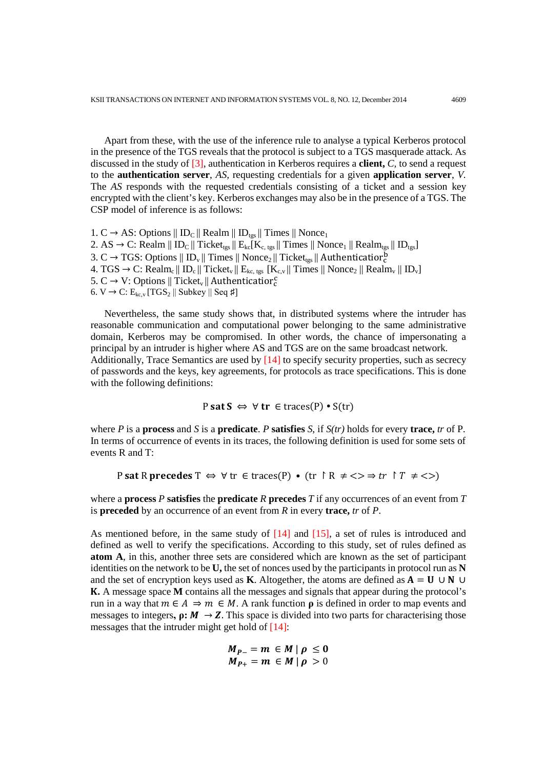Apart from these, with the use of the inference rule to analyse a typical Kerberos protocol in the presence of the TGS reveals that the protocol is subject to a TGS masquerade attack. As discussed in the study of [3], authentication in Kerberos requires a **client,** *C,* to send a request to the **authentication server**, *AS,* requesting credentials for a given **application server**, *V.* The *AS* responds with the requested credentials consisting of a ticket and a session key encrypted with the client's key. Kerberos exchanges may also be in the presence of a TGS. The CSP model of inference is as follows:

1. C → AS: Options  $||$  ID<sub>C</sub>  $||$  Realm  $||$  ID<sub>tgs</sub>  $||$  Times  $||$  Nonce<sub>1</sub> 2. AS → C: Realm ||  $ID_C$ || Ticket<sub>tgs</sub> ||  $E_{kc}$ [K<sub>c, tgs</sub> || Times || Nonce<sub>1</sub> || Realm<sub>tgs</sub> ||  $ID_{tgs}$ ] 3. C  $\rightarrow$  TGS: Options  $\|$  ID<sub>v</sub> $\|$  Times  $\|$  Nonce<sub>2</sub>  $\|$  Ticket<sub>tgs</sub>  $\|$  Authenticatior<sup>p</sup> 4. TGS → C: Realm<sub>c</sub> || ID<sub>c</sub> || Ticket<sub>v</sub> || E<sub>kc, tgs</sub> [K<sub>c,v</sub> || Times || Nonce<sub>2</sub> || Realm<sub>v</sub> || ID<sub>v</sub>] 5. C  $\rightarrow$  V: Options || Ticket<sub>v</sub> || Authenticatior<sup>c</sup> 6. V  $\rightarrow$  C:  $E_{kc,v}$  [TGS<sub>2</sub> || Subkey || Seq #]

Nevertheless, the same study shows that, in distributed systems where the intruder has reasonable communication and computational power belonging to the same administrative domain, Kerberos may be compromised. In other words, the chance of impersonating a principal by an intruder is higher where AS and TGS are on the same broadcast network. Additionally, Trace Semantics are used by [14] to specify security properties, such as secrecy of passwords and the keys, key agreements, for protocols as trace specifications. This is done with the following definitions:

$$
P \text{ sat } S \Leftrightarrow \forall \text{ tr } \in \text{traces}(P) \cdot S(\text{tr})
$$

where *P* is a **process** and *S* is a **predicate**. *P* **satisfies** *S*, if *S(tr)* holds for every **trace,** *tr* of P. In terms of occurrence of events in its traces, the following definition is used for some sets of events R and T:

P sat R precedes T 
$$
\Leftrightarrow
$$
  $\forall$  tr  $\in$  traces(P)  $\bullet$  (tr  $\upharpoonright$  R  $\neq$   $\Leftrightarrow$   $\Rightarrow$  tr  $\upharpoonright$  T  $\neq$   $\Leftrightarrow$ )

where a **process** *P* **satisfies** the **predicate** *R* **precedes** *T* if any occurrences of an event from *T*  is **preceded** by an occurrence of an event from *R* in every **trace,** *tr* of *P*.

As mentioned before, in the same study of [14] and [15], a set of rules is introduced and defined as well to verify the specifications. According to this study, set of rules defined as **atom A**, in this, another three sets are considered which are known as the set of participant identities on the network to be **U,** the set of nonces used by the participants in protocol run as **N** and the set of encryption keys used as **K**. Altogether, the atoms are defined as  $A = U \cup N \cup$ **.** A message space **M** contains all the messages and signals that appear during the protocol's run in a way that  $m \in A \Rightarrow m \in M$ . A rank function  $\rho$  is defined in order to map events and messages to integers,  $\rho: M \to Z$ . This space is divided into two parts for characterising those messages that the intruder might get hold of [14]:

$$
M_{P-} = m \in M \mid \rho \leq 0
$$
  

$$
M_{P+} = m \in M \mid \rho > 0
$$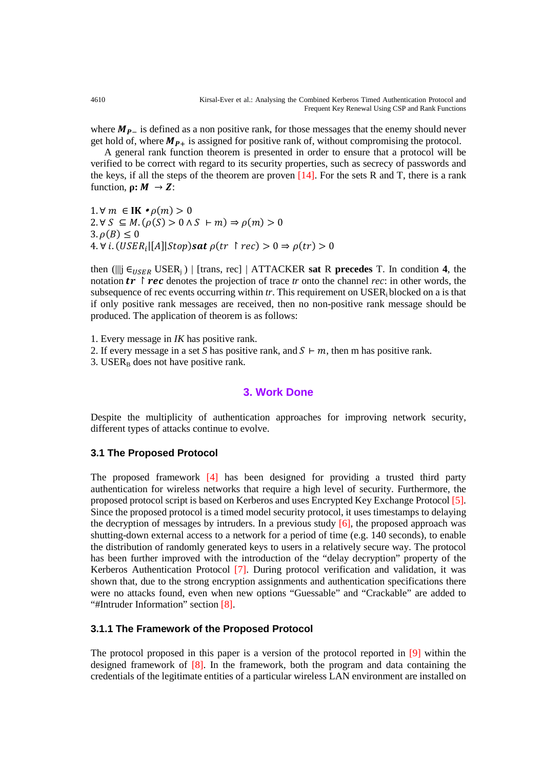where  $M_{p-}$  is defined as a non positive rank, for those messages that the enemy should never get hold of, where  $M_{P+}$  is assigned for positive rank of, without compromising the protocol.

A general rank function theorem is presented in order to ensure that a protocol will be verified to be correct with regard to its security properties, such as secrecy of passwords and the keys, if all the steps of the theorem are proven  $[14]$ . For the sets R and T, there is a rank function,  $\rho: M \rightarrow Z$ :

1.∀ $m \in$  **IK**  $\cdot \rho(m) > 0$  $2. \forall S \subseteq M$ .  $(\rho(S) > 0 \land S \vdash m) \Rightarrow \rho(m) > 0$  $3. \rho(B) \leq 0$ 4.  $\forall i. (USER_i|[A]|Stop)$ sat  $\rho(tr \rhd rec) > 0 \Rightarrow \rho(tr) > 0$ 

then ( $\parallel \parallel$   $\in$   $_{\text{USER}}$  USER<sub>j</sub>) | [trans, rec] | ATTACKER **sat** R **precedes** T. In condition 4, the notation  $\mathbf{tr} \restriction \mathbf{rec}$  denotes the projection of trace  $\mathbf{tr}$  onto the channel  $\mathbf{rec}$ : in other words, the subsequence of rec events occurring within *tr*. This requirement on USER<sub>i</sub> blocked on a is that if only positive rank messages are received, then no non-positive rank message should be produced. The application of theorem is as follows:

1. Every message in *IK* has positive rank.

2. If every message in a set *S* has positive rank, and  $S \vdash m$ , then m has positive rank.

3. USER $_B$  does not have positive rank.

#### **3. Work Done**

Despite the multiplicity of authentication approaches for improving network security, different types of attacks continue to evolve.

#### **3.1 The Proposed Protocol**

The proposed framework [4] has been designed for providing a trusted third party authentication for wireless networks that require a high level of security. Furthermore, the proposed protocol script is based on Kerberos and uses Encrypted Key Exchange Protocol [5]. Since the proposed protocol is a timed model security protocol, it uses timestamps to delaying the decryption of messages by intruders. In a previous study  $[6]$ , the proposed approach was shutting-down external access to a network for a period of time (e.g. 140 seconds), to enable the distribution of randomly generated keys to users in a relatively secure way. The protocol has been further improved with the introduction of the "delay decryption" property of the Kerberos Authentication Protocol [7]. During protocol verification and validation, it was shown that, due to the strong encryption assignments and authentication specifications there were no attacks found, even when new options "Guessable" and "Crackable" are added to "#Intruder Information" section [8].

### **3.1.1 The Framework of the Proposed Protocol**

The protocol proposed in this paper is a version of the protocol reported in [9] within the designed framework of [8]. In the framework, both the program and data containing the credentials of the legitimate entities of a particular wireless LAN environment are installed on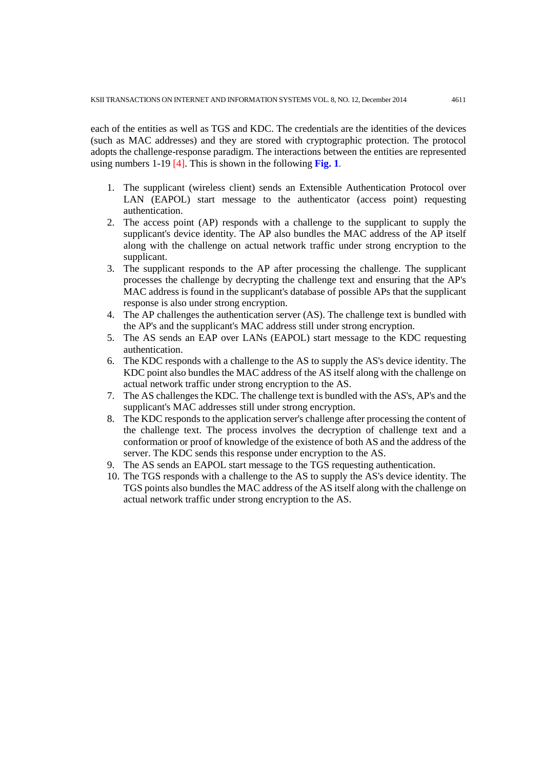each of the entities as well as TGS and KDC. The credentials are the identities of the devices (such as MAC addresses) and they are stored with cryptographic protection. The protocol adopts the challenge-response paradigm. The interactions between the entities are represented using numbers 1-19 [4]. This is shown in the following **Fig. 1**.

- 1. The supplicant (wireless client) sends an Extensible Authentication Protocol over LAN (EAPOL) start message to the authenticator (access point) requesting authentication.
- 2. The access point (AP) responds with a challenge to the supplicant to supply the supplicant's device identity. The AP also bundles the MAC address of the AP itself along with the challenge on actual network traffic under strong encryption to the supplicant.
- 3. The supplicant responds to the AP after processing the challenge. The supplicant processes the challenge by decrypting the challenge text and ensuring that the AP's MAC address is found in the supplicant's database of possible APs that the supplicant response is also under strong encryption.
- 4. The AP challenges the authentication server (AS). The challenge text is bundled with the AP's and the supplicant's MAC address still under strong encryption.
- 5. The AS sends an EAP over LANs (EAPOL) start message to the KDC requesting authentication.
- 6. The KDC responds with a challenge to the AS to supply the AS's device identity. The KDC point also bundles the MAC address of the AS itself along with the challenge on actual network traffic under strong encryption to the AS.
- 7. The AS challenges the KDC. The challenge text is bundled with the AS's, AP's and the supplicant's MAC addresses still under strong encryption.
- 8. The KDC responds to the application server's challenge after processing the content of the challenge text. The process involves the decryption of challenge text and a conformation or proof of knowledge of the existence of both AS and the address of the server. The KDC sends this response under encryption to the AS.
- 9. The AS sends an EAPOL start message to the TGS requesting authentication.
- 10. The TGS responds with a challenge to the AS to supply the AS's device identity. The TGS points also bundles the MAC address of the AS itself along with the challenge on actual network traffic under strong encryption to the AS.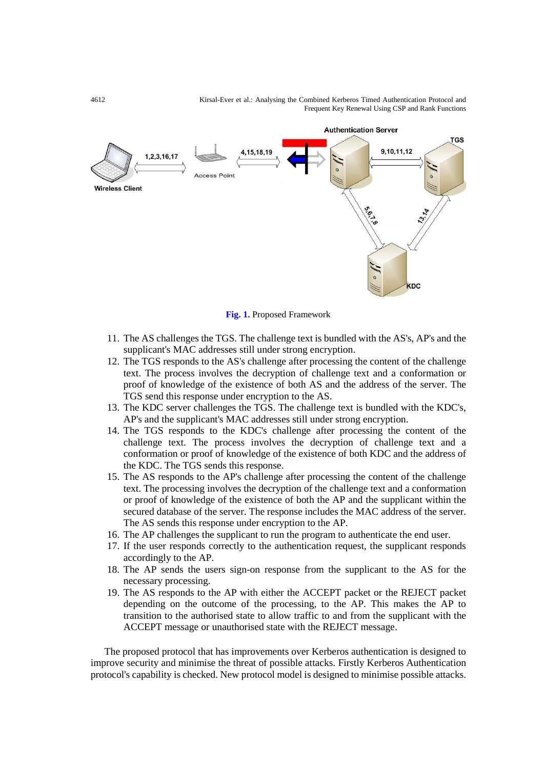4612 Kirsal-Ever et al.: Analysing the Combined Kerberos Timed Authentication Protocol and Frequent Key Renewal Using CSP and Rank Functions



**Fig. 1.** Proposed Framework

- 11. The AS challenges the TGS. The challenge text is bundled with the AS's, AP's and the supplicant's MAC addresses still under strong encryption.
- 12. The TGS responds to the AS's challenge after processing the content of the challenge text. The process involves the decryption of challenge text and a conformation or proof of knowledge of the existence of both AS and the address of the server. The TGS send this response under encryption to the AS.
- 13. The KDC server challenges the TGS. The challenge text is bundled with the KDC's, AP's and the supplicant's MAC addresses still under strong encryption.
- 14. The TGS responds to the KDC's challenge after processing the content of the challenge text. The process involves the decryption of challenge text and a conformation or proof of knowledge of the existence of both KDC and the address of the KDC. The TGS sends this response.
- 15. The AS responds to the AP's challenge after processing the content of the challenge text. The processing involves the decryption of the challenge text and a conformation or proof of knowledge of the existence of both the AP and the supplicant within the secured database of the server. The response includes the MAC address of the server. The AS sends this response under encryption to the AP.
- 16. The AP challenges the supplicant to run the program to authenticate the end user.
- 17. If the user responds correctly to the authentication request, the supplicant responds accordingly to the AP.
- 18. The AP sends the users sign-on response from the supplicant to the AS for the necessary processing.
- 19. The AS responds to the AP with either the ACCEPT packet or the REJECT packet depending on the outcome of the processing, to the AP. This makes the AP to transition to the authorised state to allow traffic to and from the supplicant with the ACCEPT message or unauthorised state with the REJECT message.

The proposed protocol that has improvements over Kerberos authentication is designed to improve security and minimise the threat of possible attacks. Firstly Kerberos Authentication protocol's capability is checked. New protocol model is designed to minimise possible attacks.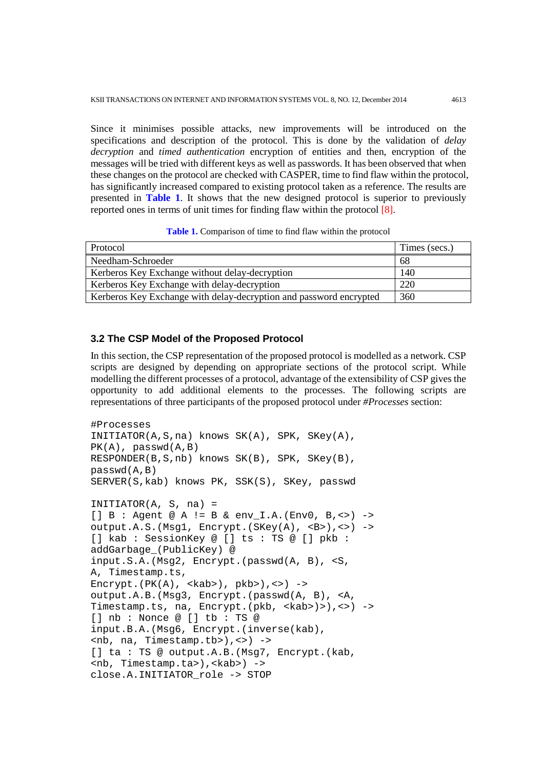Since it minimises possible attacks, new improvements will be introduced on the specifications and description of the protocol. This is done by the validation of *delay decryption* and *timed authentication* encryption of entities and then, encryption of the messages will be tried with different keys as well as passwords. It has been observed that when these changes on the protocol are checked with CASPER, time to find flaw within the protocol, has significantly increased compared to existing protocol taken as a reference. The results are presented in **Table 1**. It shows that the new designed protocol is superior to previously reported ones in terms of unit times for finding flaw within the protocol [8].

**Table 1.** Comparison of time to find flaw within the protocol

| Protocol                                                           | Times (secs.) |
|--------------------------------------------------------------------|---------------|
| Needham-Schroeder                                                  | 68            |
| Kerberos Key Exchange without delay-decryption                     | 140           |
| Kerberos Key Exchange with delay-decryption                        | 220           |
| Kerberos Key Exchange with delay-decryption and password encrypted | 360           |

#### **3.2 The CSP Model of the Proposed Protocol**

In this section, the CSP representation of the proposed protocol is modelled as a network. CSP scripts are designed by depending on appropriate sections of the protocol script. While modelling the different processes of a protocol, advantage of the extensibility of CSP gives the opportunity to add additional elements to the processes. The following scripts are representations of three participants of the proposed protocol under *#Processes* section:

```
#Processes
INITIATOR(A,S,na) knows SK(A), SPK, SKey(A), 
PK(A), passwd(A,B)
RESPONDER(B,S,nb) knows SK(B), SPK, SKey(B), 
passwd(A,B)
SERVER(S,kab) knows PK, SSK(S), SKey, passwd
INITIATOR(A, S, na) =
[] B : Agent @ A != B & env_I.A.(Env0, B,<>) ->
output.A.S.(Msg1, Encrypt.(SKey(A), <B>),<>) ->
[] kab : SessionKey @ [] ts : TS @ [] pkb : 
addGarbage_(PublicKey) @ 
input.S.A.(Msg2, Encrypt.(passwd(A, B), <S, 
A, Timestamp.ts, 
Encrypt.(PK(A), <kab>), pkb>), <>) ->
output.A.B.(Msg3, Encrypt.(passwd(A, B), <A, 
Timestamp.ts, na, Encrypt.(pkb, <kab>)>),<>) ->
[] nb : Nonce @ [] tb : TS @ 
input.B.A.(Msg6, Encrypt.(inverse(kab), 
\n  <nb, na, Timestamp.tb>\n \rightarrow[] ta : TS @ output.A.B. (Msg7, Encrypt. (kab,
<nb, Timestamp.ta>),<kab>) ->
close.A.INITIATOR_role -> STOP
```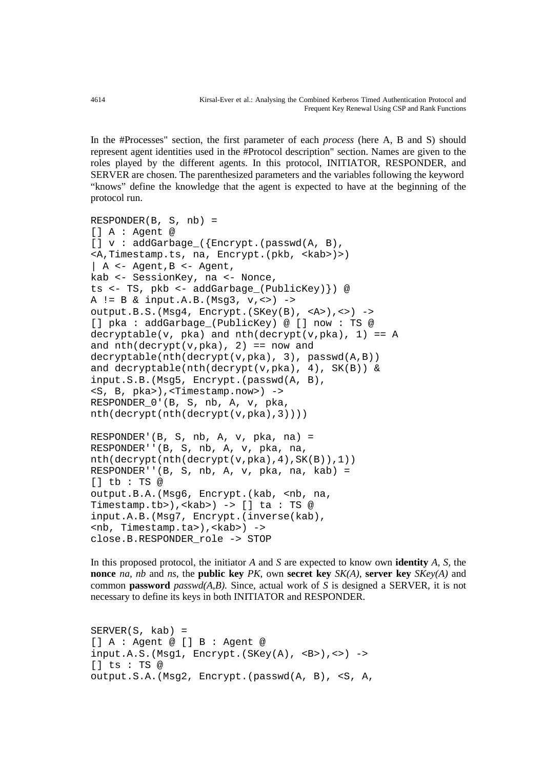In the #Processes" section, the first parameter of each *process* (here A, B and S) should represent agent identities used in the #Protocol description" section. Names are given to the roles played by the different agents. In this protocol, INITIATOR, RESPONDER, and SERVER are chosen. The parenthesized parameters and the variables following the keyword "knows" define the knowledge that the agent is expected to have at the beginning of the protocol run.

```
RESPONDER(B, S, nb) =
[] A : Agent @ 
[] v : addGarbage_({Encrypt.(passwd(A, B), 
<A,Timestamp.ts, na, Encrypt.(pkb, <kab>)>) 
| A <- Agent, B <- Agent,
kab <- SessionKey, na <- Nonce, 
ts <- TS, pkb <- addGarbage_(PublicKey)}) @ 
A != B & input.A.B.(Msg3, v,<>) ->
output.B.S.(Msg4, Encrypt.(SKey(B), <A>),<>) ->
[] pka : addGarbage_(PublicKey) @ [] now : TS @ 
decryptable(v, pka) and nth(decrypt(v,pka), 1) == Aand nth(decrypt(v,pka), 2) == now anddecryptable(nth(decrypt(v,pka), 3), passwd(A,B)) 
and decryptable(nth(decrypt(v,pka), 4), SK(B)) & 
input.S.B.(Msg5, Encrypt.(passwd(A, B), 
<S, B, pka>),<Timestamp.now>) -> 
RESPONDER_0'(B, S, nb, A, v, pka, 
nth(decrypt(nth(decrypt(v,pka),3)))) 
RESPONDER'(B, S, nb, A, v, pka, na) =
RESPONDER''(B, S, nb, A, v, pka, na, 
nth(decrypt(nth(decrypt(v,pka),4),SK(B)),1))
RESPONDER''(B, S, nb, A, v, pka, na, kab) =
[] tb : TS @ 
output.B.A.(Msg6, Encrypt.(kab, <nb, na, 
Timestamp.tb>),<kab>) -> [] ta : TS @ 
input.A.B.(Msg7, Encrypt.(inverse(kab), 
<nb, Timestamp.ta>),<kab>) -> 
close.B.RESPONDER_role -> STOP
```
In this proposed protocol, the initiator *A* and *S* are expected to know own **identity** *A, S,* the **nonce** *na, nb* and *ns*, the **public key** *PK*, own **secret key** *SK(A)*, **server key** *SKey(A)* and common **password** *passwd(A,B).* Since, actual work of *S* is designed a SERVER, it is not necessary to define its keys in both INITIATOR and RESPONDER.

```
SERVER(S, kab) =[] A : Agent @ [] B : Agent @ 
input.A.S. (Msg1, Encrypt.(SKey(A), <B>)>, <>) ->
[] ts : TS @ 
output.S.A.(Msg2, Encrypt.(passwd(A, B), <S, A,
```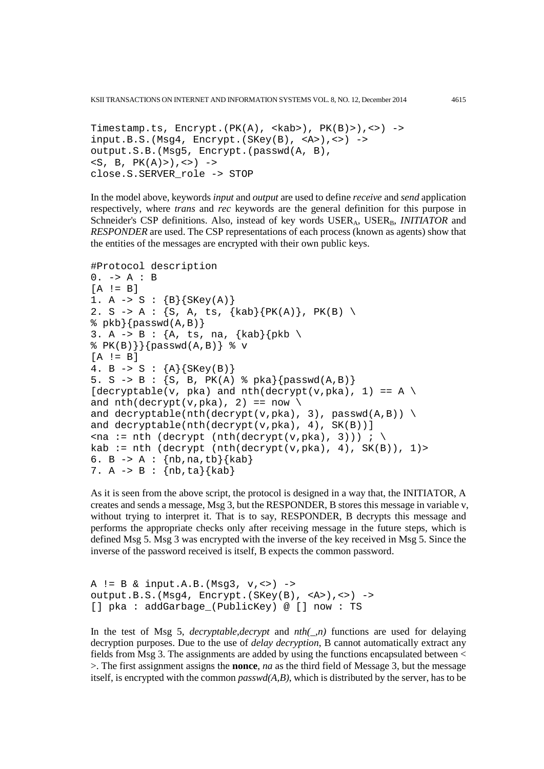KSII TRANSACTIONS ON INTERNET AND INFORMATION SYSTEMS VOL. 8, NO. 12, December 2014 4615

```
Timestamp.ts, Encrypt.(PK(A), <kab>), PK(B)>), <>) ->
input.B.S. (Msg4, Encrypt.(SKey(B), <A>)>), <>) ->
output.S.B.(Msg5, Encrypt.(passwd(A, B), 
\langle S, B, PK(A) \rangle, \langle > \rangle ->
close.S.SERVER_role -> STOP
```
In the model above, keywords *input* and *output* are used to define *receive* and *send* application respectively, where *trans* and *rec* keywords are the general definition for this purpose in Schneider's CSP definitions. Also, instead of key words USER<sub>A</sub>, USER<sub>B</sub>, *INITIATOR* and *RESPONDER* are used. The CSP representations of each process (known as agents) show that the entities of the messages are encrypted with their own public keys.

```
#Protocol description
0. -> A : B
[A \mid B]1. A \rightarrow S : {B}{SKey(A)}2. S -> A : {S, A, ts, {kab}{PK(A)}, PK(B) \
\{passwd(A,B)\}\3. A \rightarrow B : {A, ts, na, {kab}{pkb \
\{P(K(B))\}\ {passwd(A,B)} \v
[A \mid = B]4. B \rightarrow S : {A}{SKey(B)}5. S -> B : {S, B, PK(A) % pka}{passwd(A,B)} 
[decryption] [v, pha) and nth(decrypt(v,pka), 1) == A \setminusand nth(decrypt(v,pka), 2) == now \ \ \ \and decryptable(nth(decrypt(v,pka), 3), passwd(A,B)) \setminusand decryptable(nth(decrypt(v,pka), 4), SK(B))]
\langlena := nth (decrypt (nth(decrypt(v,pka), 3))) ; \
kab := nth (decrypt (nth(decrypt(v,pka), 4), SK(B)), 1)>
6. B \rightarrow A : \{nb, na, tb\}\{kab\}7. A -> B : {nb,ta}{kab}
```
As it is seen from the above script, the protocol is designed in a way that, the INITIATOR, A creates and sends a message, Msg 3, but the RESPONDER, B stores this message in variable v, without trying to interpret it. That is to say, RESPONDER, B decrypts this message and performs the appropriate checks only after receiving message in the future steps, which is defined Msg 5. Msg 3 was encrypted with the inverse of the key received in Msg 5. Since the inverse of the password received is itself, B expects the common password.

```
A != B & input.A.B. (Msg3, v, \leq) ->
output.B.S.(Msg4, Encrypt.(SKey(B), <A>),<>) ->
[] pka : addGarbage (PublicKey) @ [] now : TS
```
In the test of Msg 5, *decryptable,decrypt* and  $nth(\_n)$  functions are used for delaying decryption purposes. Due to the use of *delay decryption*, B cannot automatically extract any fields from Msg 3. The assignments are added by using the functions encapsulated between < >. The first assignment assigns the **nonce**, *na* as the third field of Message 3, but the message itself, is encrypted with the common *passwd(A,B)*, which is distributed by the server, has to be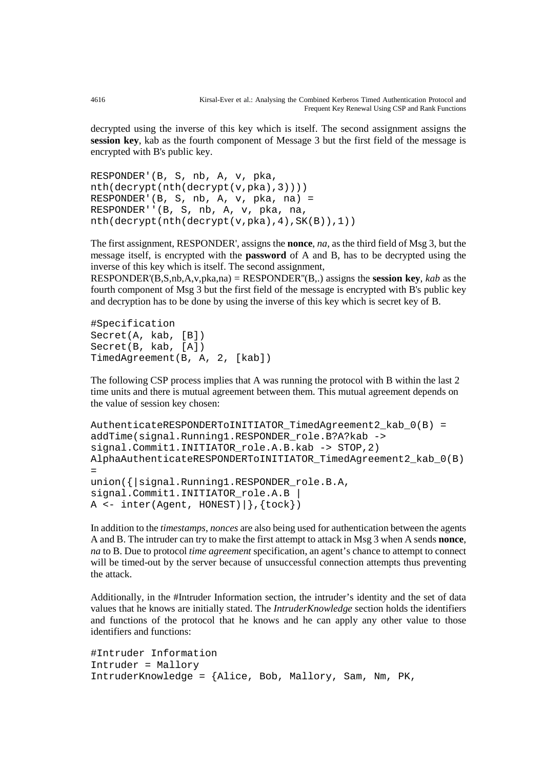decrypted using the inverse of this key which is itself. The second assignment assigns the **session key**, kab as the fourth component of Message 3 but the first field of the message is encrypted with B's public key.

```
RESPONDER'(B, S, nb, A, v, pka, 
nth(decrypt(nth(decrypt(v,pka),3))))
RESPONDER'(B, S, nb, A, v, pka, na) =
RESPONDER''(B, S, nb, A, v, pka, na, 
nth(decrypt(nth(decrypt(v,pka),4),SK(B)),1))
```
The first assignment, RESPONDER', assigns the **nonce**, *na*, as the third field of Msg 3, but the message itself, is encrypted with the **password** of A and B, has to be decrypted using the inverse of this key which is itself. The second assignment,

RESPONDER'(B,S,nb,A,v,pka,na) = RESPONDER''(B,.) assigns the **session key**, *kab* as the fourth component of Msg 3 but the first field of the message is encrypted with B's public key and decryption has to be done by using the inverse of this key which is secret key of B.

#Specification Secret(A, kab, [B]) Secret(B, kab, [A]) TimedAgreement(B, A, 2, [kab])

The following CSP process implies that A was running the protocol with B within the last 2 time units and there is mutual agreement between them. This mutual agreement depends on the value of session key chosen:

```
AuthenticateRESPONDERToINITIATOR_TimedAgreement2_kab_0(B) =
addTime(signal.Running1.RESPONDER_role.B?A?kab ->
signal.Commit1.INITIATOR_role.A.B.kab -> STOP,2)
AlphaAuthenticateRESPONDERToINITIATOR_TimedAgreement2_kab_0(B) 
=
union({|signal.Running1.RESPONDER_role.B.A,
signal.Commit1.INITIATOR_role.A.B |
A \leftarrow \text{inter}(\text{Agent}, \text{HONEST}) \mid \}, \{\text{tock}\})
```
In addition to the *timestamps*, *nonces* are also being used for authentication between the agents A and B. The intruder can try to make the first attempt to attack in Msg 3 when A sends **nonce**, *na* to B. Due to protocol *time agreement* specification, an agent's chance to attempt to connect will be timed-out by the server because of unsuccessful connection attempts thus preventing the attack.

Additionally, in the #Intruder Information section, the intruder's identity and the set of data values that he knows are initially stated. The *IntruderKnowledge* section holds the identifiers and functions of the protocol that he knows and he can apply any other value to those identifiers and functions:

```
#Intruder Information
Intruder = Mallory
IntruderKnowledge = {Alice, Bob, Mallory, Sam, Nm, PK,
```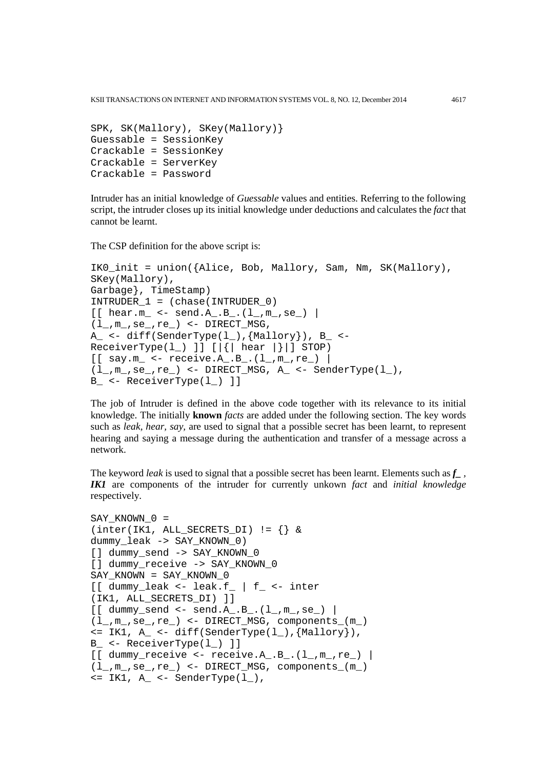KSII TRANSACTIONS ON INTERNET AND INFORMATION SYSTEMS VOL. 8, NO. 12, December 2014 4617

```
SPK, SK(Mallory), SKey(Mallory)} 
Guessable = SessionKey
Crackable = SessionKey
Crackable = ServerKey
Crackable = Password
```
Intruder has an initial knowledge of *Guessable* values and entities. Referring to the following script, the intruder closes up its initial knowledge under deductions and calculates the *fact* that cannot be learnt.

The CSP definition for the above script is:

```
IK0_init = union({Alice, Bob, Mallory, Sam, Nm, SK(Mallory), 
SKey(Mallory),
Garbage}, TimeStamp)
INTRUDER_1 = (chase(INTRUDER_0)
[ [ hear.m_ <- send.A_.B_.(1_,m_,se_) |
(1_, m_, se<sub>-</sub>, re_) <- DIRECT_MSG,
A_ <- diff(SenderType(l), {Mallory}), B_ <-
ReceiverType(1) ] [ { | the ar | } ] STOP)
[ [ say.m_ <- receive.A_.B_.(l_,m_,re_) |
(1_-, m_-, se_-, re_-) <- DIRECT_MSG, A_ <- SenderType(1_-),
B_ <- ReceiverType(l_) ]]
```
The job of Intruder is defined in the above code together with its relevance to its initial knowledge. The initially **known** *facts* are added under the following section. The key words such as *leak, hear, say,* are used to signal that a possible secret has been learnt, to represent hearing and saying a message during the authentication and transfer of a message across a network.

The keyword *leak* is used to signal that a possible secret has been learnt. Elements such as  $f_{-}$ , *IK1* are components of the intruder for currently unkown *fact* and *initial knowledge* respectively.

```
SAY KNOWN 0 =(inter(IK1, ALL\_SECRETS_DI) != \{\} &dummy_leak -> SAY_KNOWN_0) 
[] dummy_send -> SAY_KNOWN_0 
[] dummy_receive -> SAY_KNOWN_0 
SAY_KNOWN = SAY_KNOWN_0
[[ dummy_leak <- leak.f_ | f_ <- inter
(IK1, ALL_SECRETS_DI) ]]
[[ dummy_send <- send.A_.B_.(1_-, m_-, s e_-) |
(l_,m_,se_,re_) <- DIRECT_MSG, components_(m_) 
\leq IK1, A_\leq diff(SenderType(l_), {Mallory}),
B_ <- ReceiverType(l_) ]]
[ dummy_receive <- receive.A_.B_.(l_-, m_-, r e_-) |
(l_,m_,se_,re_) <- DIRECT_MSG, components_(m_) 
\leq IK1, A_\leq SenderType(1),
```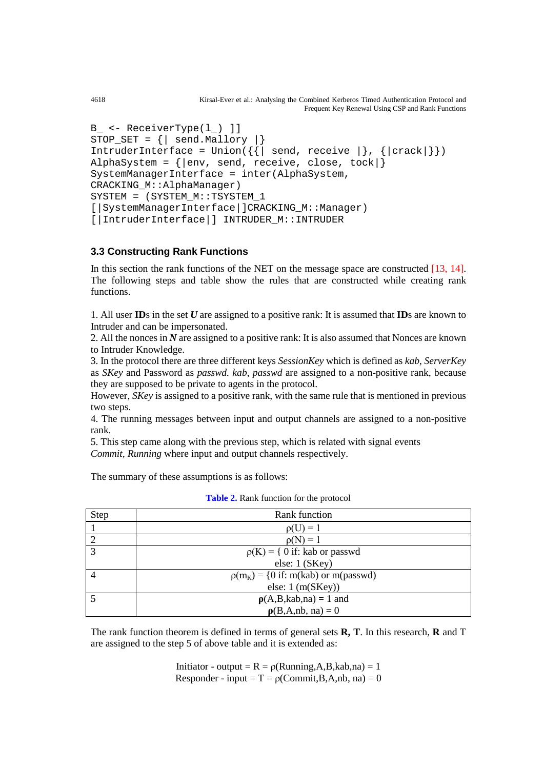```
4618 Kirsal-Ever et al.: Analysing the Combined Kerberos Timed Authentication Protocol and 
                                                       Frequent Key Renewal Using CSP and Rank Functions
```

```
B_ <- ReceiverType(l_) ]]
STOP_SET = {| send.Mallory |}
IntruderInterface = Union(\{ \} send, receive \}, \{ | crack| \})
AlphaSystem = \{|env, send, receive, close, took|\}SystemManagerInterface = inter(AlphaSystem,
CRACKING_M::AlphaManager)
SYSTEM = (SYSTEM_M::TSYSTEM_1 
[|SystemManagerInterface|]CRACKING_M::Manager)
[|IntruderInterface|] INTRUDER_M::INTRUDER
```
## **3.3 Constructing Rank Functions**

In this section the rank functions of the NET on the message space are constructed [13, 14]. The following steps and table show the rules that are constructed while creating rank functions.

1. All user **ID**s in the set *U* are assigned to a positive rank: It is assumed that **ID**s are known to Intruder and can be impersonated.

2. All the nonces in *N* are assigned to a positive rank: It is also assumed that Nonces are known to Intruder Knowledge.

3. In the protocol there are three different keys *SessionKey* which is defined as *kab*, *ServerKey* as *SKey* and Password as *passwd. kab*, *passwd* are assigned to a non-positive rank, because they are supposed to be private to agents in the protocol.

However, *SKey* is assigned to a positive rank, with the same rule that is mentioned in previous two steps.

4. The running messages between input and output channels are assigned to a non-positive rank.

5. This step came along with the previous step, which is related with signal events *Commit, Running* where input and output channels respectively.

The summary of these assumptions is as follows:

| Step | Rank function                          |  |  |  |
|------|----------------------------------------|--|--|--|
|      | $\rho(U) = 1$                          |  |  |  |
|      | $\rho(N) = 1$                          |  |  |  |
| 3    | $\rho(K) = \{ 0$ if: kab or passwd     |  |  |  |
|      | else: 1 (SKey)                         |  |  |  |
|      | $p(m_K) = \{0$ if: m(kab) or m(passwd) |  |  |  |
|      | else: $1 \text{ (m(SKey))}$            |  |  |  |
|      | $\rho(A,B,kab,na) = 1$ and             |  |  |  |
|      | $\rho(B,A,nb,na) = 0$                  |  |  |  |

|  |  |  |  | <b>Table 2.</b> Rank function for the protocol |
|--|--|--|--|------------------------------------------------|
|--|--|--|--|------------------------------------------------|

The rank function theorem is defined in terms of general sets **R, T**. In this research, **R** and T are assigned to the step 5 of above table and it is extended as:

> Initiator - output =  $R = \rho(Running,A,B,kab,na) = 1$ Responder - input =  $T = \rho$ (Commit, B, A, nb, na) = 0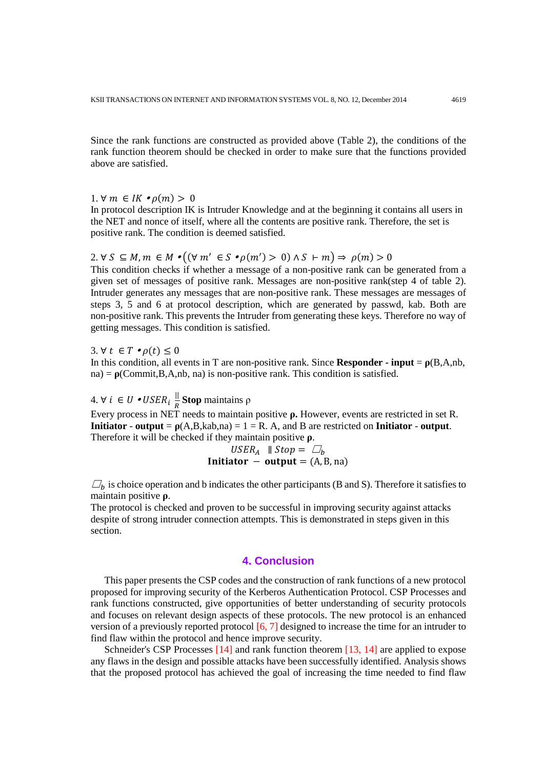Since the rank functions are constructed as provided above (Table 2), the conditions of the rank function theorem should be checked in order to make sure that the functions provided above are satisfied.

1.  $\forall m \in IK \bullet \rho(m) > 0$ 

In protocol description IK is Intruder Knowledge and at the beginning it contains all users in the NET and nonce of itself, where all the contents are positive rank. Therefore, the set is positive rank. The condition is deemed satisfied.

# 2.  $\forall S \subseteq M, m \in M \bullet ((\forall m' \in S \bullet \rho(m') > 0) \land S \vdash m) \Rightarrow \rho(m) > 0$

This condition checks if whether a message of a non-positive rank can be generated from a given set of messages of positive rank. Messages are non-positive rank(step 4 of table 2). Intruder generates any messages that are non-positive rank. These messages are messages of steps 3, 5 and 6 at protocol description, which are generated by passwd, kab. Both are non-positive rank. This prevents the Intruder from generating these keys. Therefore no way of getting messages. This condition is satisfied.

3.  $\forall t \in T \bullet \rho(t) \leq 0$ 

In this condition, all events in T are non-positive rank. Since **Responder - input** =  $\rho(B,A,nb)$ ,  $na) = \rho$ (Commit, B, A, nb, na) is non-positive rank. This condition is satisfied.

4. ∀ *i* ∈ *U* • *USER*<sub>*i*</sub>  $\frac{||}{R}$ **Stop** maintains ρ Every process in NET needs to maintain positive **ρ.** However, events are restricted in set R. **Initiator - output** =  $p(A,B,kab,na) = 1 = R$ . A, and B are restricted on **Initiator** - output. Therefore it will be checked if they maintain positive **ρ**.

*USER<sub>A</sub>* 
$$
\parallel Stop = \square_b
$$
  
**Initiator**  $-$  **output**  $=$  (A, B, na)

 $\Box_h$  is choice operation and b indicates the other participants (B and S). Therefore it satisfies to maintain positive **ρ**.

The protocol is checked and proven to be successful in improving security against attacks despite of strong intruder connection attempts. This is demonstrated in steps given in this section.

## **4. Conclusion**

This paper presents the CSP codes and the construction of rank functions of a new protocol proposed for improving security of the Kerberos Authentication Protocol. CSP Processes and rank functions constructed, give opportunities of better understanding of security protocols and focuses on relevant design aspects of these protocols. The new protocol is an enhanced version of a previously reported protocol [6, 7] designed to increase the time for an intruder to find flaw within the protocol and hence improve security.

Schneider's CSP Processes [14] and rank function theorem [13, 14] are applied to expose any flaws in the design and possible attacks have been successfully identified. Analysis shows that the proposed protocol has achieved the goal of increasing the time needed to find flaw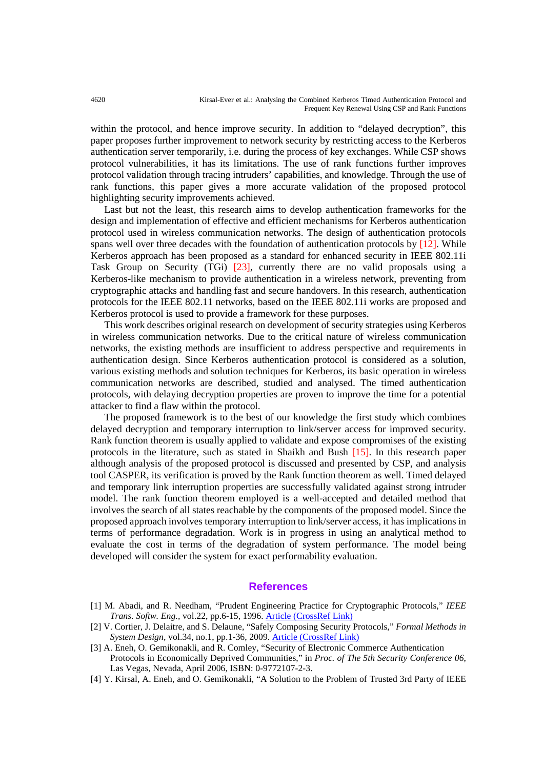within the protocol, and hence improve security. In addition to "delayed decryption", this paper proposes further improvement to network security by restricting access to the Kerberos authentication server temporarily, i.e. during the process of key exchanges. While CSP shows protocol vulnerabilities, it has its limitations. The use of rank functions further improves protocol validation through tracing intruders' capabilities, and knowledge. Through the use of rank functions, this paper gives a more accurate validation of the proposed protocol highlighting security improvements achieved.

Last but not the least, this research aims to develop authentication frameworks for the design and implementation of effective and efficient mechanisms for Kerberos authentication protocol used in wireless communication networks. The design of authentication protocols spans well over three decades with the foundation of authentication protocols by [12]. While Kerberos approach has been proposed as a standard for enhanced security in IEEE 802.11i Task Group on Security (TGi) [23], currently there are no valid proposals using a Kerberos-like mechanism to provide authentication in a wireless network, preventing from cryptographic attacks and handling fast and secure handovers. In this research, authentication protocols for the IEEE 802.11 networks, based on the IEEE 802.11i works are proposed and Kerberos protocol is used to provide a framework for these purposes.

This work describes original research on development of security strategies using Kerberos in wireless communication networks. Due to the critical nature of wireless communication networks, the existing methods are insufficient to address perspective and requirements in authentication design. Since Kerberos authentication protocol is considered as a solution, various existing methods and solution techniques for Kerberos, its basic operation in wireless communication networks are described, studied and analysed. The timed authentication protocols, with delaying decryption properties are proven to improve the time for a potential attacker to find a flaw within the protocol.

The proposed framework is to the best of our knowledge the first study which combines delayed decryption and temporary interruption to link/server access for improved security. Rank function theorem is usually applied to validate and expose compromises of the existing protocols in the literature, such as stated in Shaikh and Bush [15]. In this research paper although analysis of the proposed protocol is discussed and presented by CSP, and analysis tool CASPER, its verification is proved by the Rank function theorem as well. Timed delayed and temporary link interruption properties are successfully validated against strong intruder model. The rank function theorem employed is a well-accepted and detailed method that involves the search of all states reachable by the components of the proposed model. Since the proposed approach involves temporary interruption to link/server access, it has implications in terms of performance degradation. Work is in progress in using an analytical method to evaluate the cost in terms of the degradation of system performance. The model being developed will consider the system for exact performability evaluation.

#### **References**

- [1] M. Abadi, and R. Needham, "Prudent Engineering Practice for Cryptographic Protocols," *IEEE Trans. Softw. Eng.,* vol.22, pp.6-15, 1996. [Article \(CrossRef Link\)](http://dx.doi.org/10.1109/32.481513)
- [2] V. Cortier, J. Delaitre, and S. Delaune, "Safely Composing Security Protocols," *Formal Methods in System Design,* vol.34, no.1, pp.1-36, 2009. [Article \(CrossRef Link\)](http://dx.doi.org/10.1007/s10703-008-0059-4)
- [3] A. Eneh, O. Gemikonakli, and R. Comley, "Security of Electronic Commerce Authentication Protocols in Economically Deprived Communities," in *Proc. of The 5th Security Conference 06*, Las Vegas, Nevada, April 2006, ISBN: 0-9772107-2-3.
- [4] Y. Kirsal, A. Eneh, and O. Gemikonakli, "A Solution to the Problem of Trusted 3rd Party of IEEE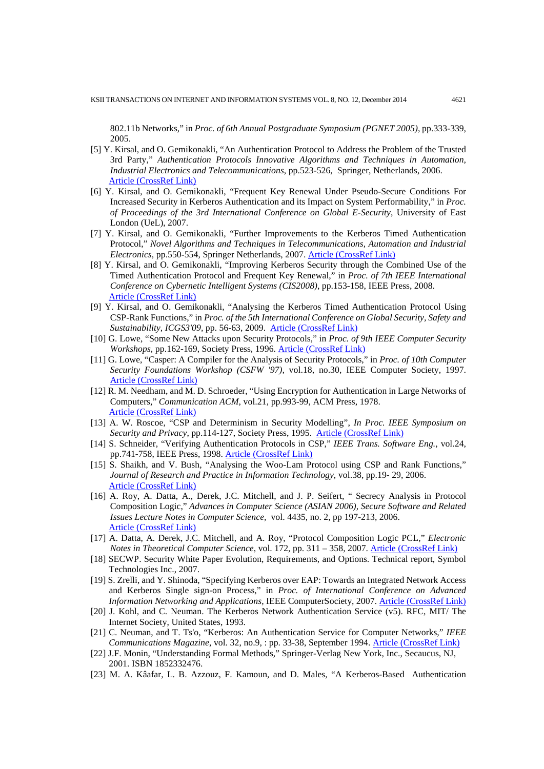802.11b Networks," in *Proc. of 6th Annual Postgraduate Symposium (PGNET 2005)*, pp.333-339, 2005.

- [5] Y. Kirsal, and O. Gemikonakli, "An Authentication Protocol to Address the Problem of the Trusted 3rd Party," *Authentication Protocols Innovative Algorithms and Techniques in Automation, Industrial Electronics and Telecommunications*, pp.523-526, Springer, Netherlands, 2006. [Article \(CrossRef Link\)](http://dx.doi.org/10.1007/978-1-4020-6266-7_95)
- [6] Y. Kirsal, and O. Gemikonakli, "Frequent Key Renewal Under Pseudo-Secure Conditions For Increased Security in Kerberos Authentication and its Impact on System Performability," in *Proc. of Proceedings of the 3rd International Conference on Global E-Security*, University of East London (UeL), 2007.
- [7] Y. Kirsal, and O. Gemikonakli, "Further Improvements to the Kerberos Timed Authentication Protocol," *Novel Algorithms and Techniques in Telecommunications, Automation and Industrial Electronics*, pp.550-554, Springer Netherlands, 2007. Article [\(CrossRef Link\)](http://dx.doi.org/10.1007/978-1-4020-8737-0_99)
- [8] Y. Kirsal, and O. Gemikonakli, "Improving Kerberos Security through the Combined Use of the Timed Authentication Protocol and Frequent Key Renewal," in *Proc. of 7th IEEE International Conference on Cybernetic Intelligent Systems (CIS2008)*, pp.153-158, IEEE Press, 2008. [Article \(CrossRef Link\)](http://dx.doi.org/10.1109/UKRICIS.2008.4798930)
- [9] Y. Kirsal, and O. Gemikonakli, "Analysing the Kerberos Timed Authentication Protocol Using CSP-Rank Functions," in *Proc. of the 5th International Conference on Global Security, Safety and Sustainability, ICGS3'09,* pp. 56-63, 2009. [Article \(CrossRef Link\)](http://dx.doi.org/10.1007/978-3-642-04062-7_7)
- [10] G. Lowe, "Some New Attacks upon Security Protocols," in *Proc. of 9th IEEE Computer Security Workshops*, pp.162-169, Society Press, 1996. [Article \(CrossRef Link\)](http://dx.doi.org/10.1109/CSFW.1996.503701)
- [11] G. Lowe, "Casper: A Compiler for the Analysis of Security Protocols," in *Proc. of 10th Computer Security Foundations Workshop (CSFW '97),* vol.18, no.30, IEEE Computer Society, 1997. [Article \(CrossRef Link\)](http://dx.doi.org/10.1109/CSFW.1997.596779)
- [12] R. M. Needham, and M. D. Schroeder, "Using Encryption for Authentication in Large Networks of Computers," *Communication ACM*, vol.21, pp.993-99, ACM Press, 1978. [Article \(CrossRef Link\)](http://dx.doi.org/10.1145/359657.359659)
- [13] A. W. Roscoe, "CSP and Determinism in Security Modelling", *In Proc. IEEE Symposium on Security and Privacy*, pp.114-127, Society Press, 1995. [Article \(CrossRef Link\)](http://dx.doi.org/10.1.1.25.478)
- [14] S. Schneider, "Verifying Authentication Protocols in CSP," *IEEE Trans. Software Eng.*, vol.24, pp.741-758, IEEE Press, 1998. [Article \(CrossRef Link\)](http://dx.doi.org/10.1109/32.713329)
- [15] S. Shaikh, and V. Bush, "Analysing the Woo-Lam Protocol using CSP and Rank Functions," *Journal of Research and Practice in Information Technology*, vol.38, pp.19- 29, 2006. [Article \(CrossRef Link\)](http://dx.doi.org/10.1.1.88.8343)
- [16] A. Roy, A. Datta, A., Derek, J.C. Mitchell, and J. P. Seifert, " Secrecy Analysis in Protocol Composition Logic," *Advances in Computer Science (ASIAN 2006), Secure Software and Related Issues Lecture Notes in Computer Science,* vol. 4435, no. 2, pp 197-213, 2006. [Article \(CrossRef Link\)](http://dx.doi.org/10.1007/978-3-540-77505-8_15)
- [17] A. Datta, A. Derek, J.C. Mitchell, and A. Roy, "Protocol Composition Logic PCL," *Electronic Notes in Theoretical Computer Science*, vol. 172, pp. 311 – 358, 2007. [Article \(CrossRef Link\)](http://dx.doi.org/10.1016/j.entcs.2007.02.012)
- [18] SECWP. Security White Paper Evolution, Requirements, and Options. Technical report, Symbol Technologies Inc., 2007.
- [19] S. Zrelli, and Y. Shinoda, "Specifying Kerberos over EAP: Towards an Integrated Network Access and Kerberos Single sign-on Process," in *Proc. of International Conference on Advanced Information Networking and Applications*, IEEE ComputerSociety, 2007. [Article \(CrossRef Link\)](http://dx.doi.org/10.1109/AINA.2007.130)
- [20] J. Kohl, and C. Neuman. The Kerberos Network Authentication Service (v5). RFC, MIT/ The Internet Society, United States, 1993.
- [21] C. Neuman, and T. Ts'o, "Kerberos: An Authentication Service for Computer Networks," *IEEE Communications Magazine*, vol. 32, no.9, : pp. 33-38, September 1994. [Article \(CrossRef Link\)](http://dx.doi.org/10.1109/35.312841)
- [22] J.F. Monin, "Understanding Formal Methods," Springer-Verlag New York, Inc., Secaucus, NJ, 2001. ISBN 1852332476.
- [23] M. A. Kâafar, L. B. Azzouz, F. Kamoun, and D. Males, "A Kerberos-Based Authentication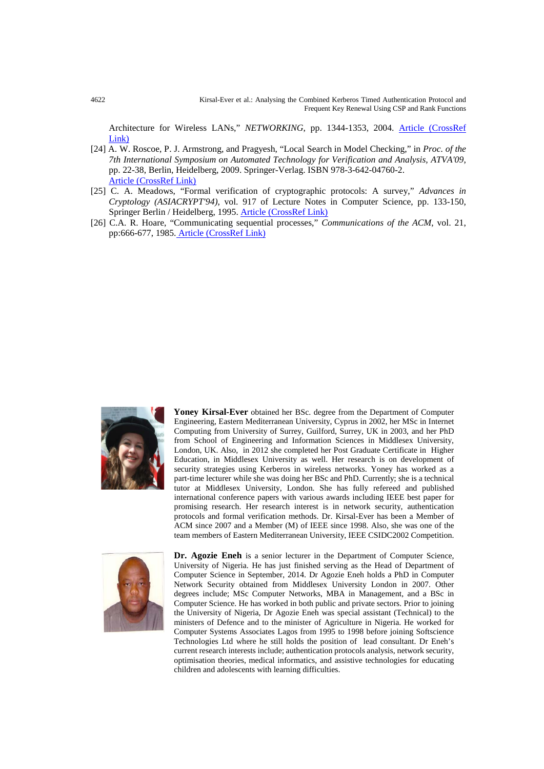4622 Kirsal-Ever et al.: Analysing the Combined Kerberos Timed Authentication Protocol and Frequent Key Renewal Using CSP and Rank Functions

Architecture for Wireless LANs," *NETWORKING*, pp. 1344-1353, 2004. Article (CrossRef [Link\)](http://dx.doi.org/10.1007/978-3-540-24693-0_117)

- [24] A. W. Roscoe, P. J. Armstrong, and Pragyesh, "Local Search in Model Checking," in *Proc. of the 7th International Symposium on Automated Technology for Verification and Analysis, ATVA'09*, pp. 22-38, Berlin, Heidelberg, 2009. Springer-Verlag. ISBN 978-3-642-04760-2. [Article \(CrossRef Link\)](http://dx.doi.org/%2010.1007/978-3-642-04761-9_3)
- [25] C. A. Meadows, "Formal verification of cryptographic protocols: A survey," *Advances in Cryptology (ASIACRYPT'94)*, vol. 917 of Lecture Notes in Computer Science, pp. 133-150, Springer Berlin / Heidelberg, 1995. [Article \(CrossRef Link\)](http://dx.doi.org/10.1007/BFb0000430)
- [26] C.A. R. Hoare, "Communicating sequential processes," *Communications of the ACM*, vol. 21, pp:666-677, 1985. [Article \(CrossRef Link\)](http://dx.doi.org/10.1145/359576.359585)



**Yoney Kirsal-Ever** obtained her BSc. degree from the Department of Computer Engineering, Eastern Mediterranean University, Cyprus in 2002, her MSc in Internet Computing from University of Surrey, Guilford, Surrey, UK in 2003, and her PhD from School of Engineering and Information Sciences in Middlesex University, London, UK. Also, in 2012 she completed her Post Graduate Certificate in Higher Education, in Middlesex University as well. Her research is on development of security strategies using Kerberos in wireless networks. Yoney has worked as a part-time lecturer while she was doing her BSc and PhD. Currently; she is a technical tutor at Middlesex University, London. She has fully refereed and published international conference papers with various awards including IEEE best paper for promising research. Her research interest is in network security, authentication protocols and formal verification methods. Dr. Kirsal-Ever has been a Member of ACM since 2007 and a Member (M) of IEEE since 1998. Also, she was one of the team members of Eastern Mediterranean University, IEEE CSIDC2002 Competition.



**Dr. Agozie Eneh** is a senior lecturer in the Department of Computer Science, University of Nigeria. He has just finished serving as the Head of Department of Computer Science in September, 2014. Dr Agozie Eneh holds a PhD in Computer Network Security obtained from Middlesex University London in 2007. Other degrees include; MSc Computer Networks, MBA in Management, and a BSc in Computer Science. He has worked in both public and private sectors. Prior to joining the University of Nigeria, Dr Agozie Eneh was special assistant (Technical) to the ministers of Defence and to the minister of Agriculture in Nigeria. He worked for Computer Systems Associates Lagos from 1995 to 1998 before joining Softscience Technologies Ltd where he still holds the position of lead consultant. Dr Eneh's current research interests include; authentication protocols analysis, network security, optimisation theories, medical informatics, and assistive technologies for educating children and adolescents with learning difficulties.